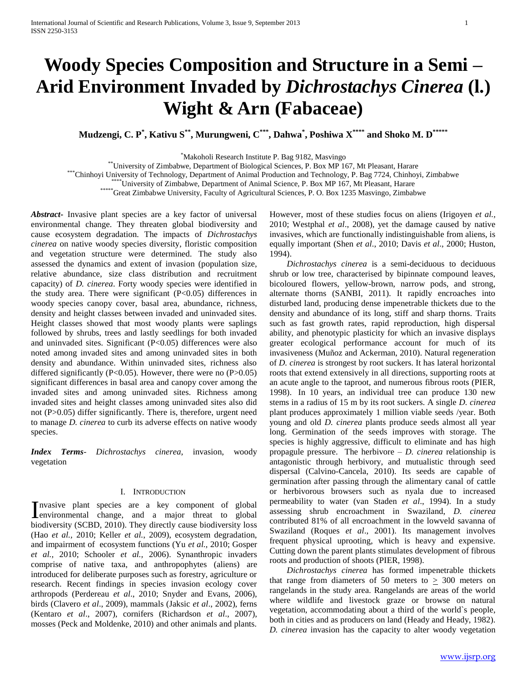# **Woody Species Composition and Structure in a Semi – Arid Environment Invaded by** *Dichrostachys Cinerea* **(l.) Wight & Arn (Fabaceae)**

**Mudzengi, C. P\* , Kativu S\*\*, Murungweni, C\*\*\*, Dahwa\* , Poshiwa X\*\*\*\* and Shoko M. D\*\*\*\*\***

\*Makoholi Research Institute P. Bag 9182, Masvingo

\*\*University of Zimbabwe, Department of Biological Sciences, P. Box MP 167, Mt Pleasant, Harare

\*\*\*Chinhoyi University of Technology, Department of Animal Production and Technology, P. Bag 7724, Chinhoyi, Zimbabwe

\*\*\*\*University of Zimbabwe, Department of Animal Science, P. Box MP 167, Mt Pleasant, Harare

\*\*\*\*\*Great Zimbabwe University, Faculty of Agricultural Sciences, P. O. Box 1235 Masvingo, Zimbabwe

*Abstract***-** Invasive plant species are a key factor of universal environmental change. They threaten global biodiversity and cause ecosystem degradation. The impacts of *Dichrostachys cinerea* on native woody species diversity, floristic composition and vegetation structure were determined. The study also assessed the dynamics and extent of invasion (population size, relative abundance, size class distribution and recruitment capacity) of *D. cinerea*. Forty woody species were identified in the study area. There were significant (P<0.05) differences in woody species canopy cover, basal area, abundance, richness, density and height classes between invaded and uninvaded sites. Height classes showed that most woody plants were saplings followed by shrubs, trees and lastly seedlings for both invaded and uninvaded sites. Significant (P<0.05) differences were also noted among invaded sites and among uninvaded sites in both density and abundance. Within uninvaded sites, richness also differed significantly (P<0.05). However, there were no (P>0.05) significant differences in basal area and canopy cover among the invaded sites and among uninvaded sites. Richness among invaded sites and height classes among uninvaded sites also did not (P>0.05) differ significantly. There is, therefore, urgent need to manage *D. cinerea* to curb its adverse effects on native woody species.

*Index Terms*- *Dichrostachys cinerea*, invasion, woody vegetation

#### I. INTRODUCTION

nvasive plant species are a key component of global Invasive plant species are a key component of global<br>environmental change, and a major threat to global biodiversity (SCBD, 2010). They directly cause biodiversity loss (Hao *et al.,* 2010; Keller *et al.*, 2009), ecosystem degradation, and impairment of ecosystem functions (Yu *et al.,* 2010; Gosper *et al.,* 2010; Schooler *et al.,* 2006). Synanthropic invaders comprise of native taxa, and anthropophytes (aliens) are introduced for deliberate purposes such as forestry, agriculture or research. Recent findings in species invasion ecology cover arthropods (Perdereau *et al*., 2010; Snyder and Evans, 2006), birds (Clavero *et al*., 2009), mammals (Jaksic *et al*., 2002), ferns (Kentaro *et al*., 2007), cornifers (Richardson *et al*., 2007), mosses (Peck and Moldenke, 2010) and other animals and plants.

However, most of these studies focus on aliens (Irigoyen *et al.,* 2010; Westphal *et al*., 2008), yet the damage caused by native invasives, which are functionally indistinguishable from aliens, is equally important (Shen *et al*., 2010; Davis *et al*., 2000; Huston, 1994).

 *Dichrostachys cinerea* is a semi-deciduous to deciduous shrub or low tree, characterised by bipinnate compound leaves, bicoloured flowers, yellow-brown, narrow pods, and strong, alternate thorns (SANBI, 2011). It rapidly encroaches into disturbed land, producing dense impenetrable thickets due to the density and abundance of its long, stiff and sharp thorns. Traits such as fast growth rates, rapid reproduction, high dispersal ability, and phenotypic plasticity for which an invasive displays greater ecological performance account for much of its invasiveness (Muñoz and Ackerman, 2010). Natural regeneration of *D. cinerea* is strongest by root suckers. It has lateral horizontal roots that extend extensively in all directions, supporting roots at an acute angle to the taproot, and numerous fibrous roots (PIER, 1998). In 10 years, an individual tree can produce 130 new stems in a radius of 15 m by its root suckers. A single *D. cinerea* plant produces approximately 1 million viable seeds /year. Both young and old *D. cinerea* plants produce seeds almost all year long. Germination of the seeds improves with storage. The species is highly aggressive, difficult to eliminate and has high propagule pressure. The herbivore – *D. cinerea* relationship is antagonistic through herbivory, and mutualistic through seed dispersal (Calvino-Cancela, 2010). Its seeds are capable of germination after passing through the alimentary canal of cattle or herbivorous browsers such as nyala due to increased permeability to water (van Staden *et al*., 1994). In a study assessing shrub encroachment in Swaziland, *D. cinerea* contributed 81% of all encroachment in the lowveld savanna of Swaziland (Roques *et al*., 2001). Its management involves frequent physical uprooting, which is heavy and expensive. Cutting down the parent plants stimulates development of fibrous roots and production of shoots (PIER, 1998).

 *Dichrostachys cinerea* has formed impenetrable thickets that range from diameters of 50 meters to  $\geq$  300 meters on rangelands in the study area. Rangelands are areas of the world where wildlife and livestock graze or browse on natural vegetation, accommodating about a third of the world`s people, both in cities and as producers on land (Heady and Heady, 1982). *D. cinerea* invasion has the capacity to alter woody vegetation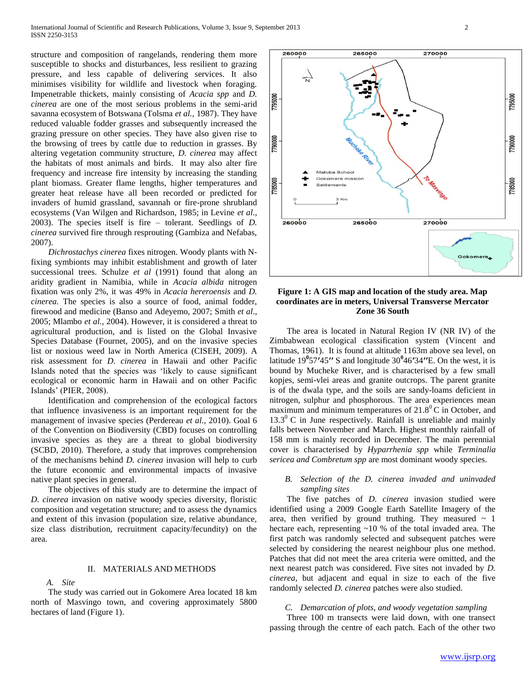structure and composition of rangelands, rendering them more susceptible to shocks and disturbances, less resilient to grazing pressure, and less capable of delivering services. It also minimises visibility for wildlife and livestock when foraging. Impenetrable thickets, mainly consisting of *Acacia spp* and *D. cinerea* are one of the most serious problems in the semi-arid savanna ecosystem of Botswana (Tolsma *et al.,* 1987). They have reduced valuable fodder grasses and subsequently increased the grazing pressure on other species. They have also given rise to the browsing of trees by cattle due to reduction in grasses. By altering vegetation community structure, *D. cinerea* may affect the habitats of most animals and birds. It may also alter fire frequency and increase fire intensity by increasing the standing plant biomass. Greater flame lengths, higher temperatures and greater heat release have all been recorded or predicted for invaders of humid grassland, savannah or fire-prone shrubland ecosystems (Van Wilgen and Richardson, 1985; in Levine *et al*., 2003). The species itself is fire – tolerant. Seedlings of *D. cinerea* survived fire through resprouting (Gambiza and Nefabas, 2007).

 *Dichrostachys cinerea* fixes nitrogen. Woody plants with Nfixing symbionts may inhibit establishment and growth of later successional trees. Schulze *et al* (1991) found that along an aridity gradient in Namibia, while in *Acacia albida* nitrogen fixation was only 2%, it was 49% in *Acacia hereroensis* and *D. cinerea.* The species is also a source of food, animal fodder, firewood and medicine (Banso and Adeyemo, 2007; Smith *et al*., 2005; Mlambo *et al.,* 2004). However, it is considered a threat to agricultural production, and is listed on the Global Invasive Species Database (Fournet, 2005), and on the invasive species list or noxious weed law in North America (CISEH, 2009). A risk assessment for *D. cinerea* in Hawaii and other Pacific Islands noted that the species was 'likely to cause significant ecological or economic harm in Hawaii and on other Pacific Islands' (PIER, 2008).

Identification and comprehension of the ecological factors that influence invasiveness is an important requirement for the management of invasive species (Perdereau *et al*., 2010). Goal 6 of the Convention on Biodiversity (CBD) focuses on controlling invasive species as they are a threat to global biodiversity (SCBD, 2010). Therefore, a study that improves comprehension of the mechanisms behind *D. cinerea* invasion will help to curb the future economic and environmental impacts of invasive native plant species in general.

The objectives of this study are to determine the impact of *D. cinerea* invasion on native woody species diversity, floristic composition and vegetation structure; and to assess the dynamics and extent of this invasion (population size, relative abundance, size class distribution, recruitment capacity/fecundity) on the area.

#### II. MATERIALS AND METHODS

*A. Site* 

The study was carried out in Gokomere Area located 18 km north of Masvingo town, and covering approximately 5800 hectares of land (Figure 1).



### **Figure 1: A GIS map and location of the study area. Map coordinates are in meters, Universal Transverse Mercator Zone 36 South**

The area is located in Natural Region IV (NR IV) of the Zimbabwean ecological classification system (Vincent and Thomas, 1961). It is found at altitude 1163m above sea level, on latitude 19**<sup>0</sup>** 57**ʹ**45**ʹʹ** S and longitude 30**<sup>0</sup>** 46**ʹ**34**ʹʹ**E. On the west, it is bound by Mucheke River, and is characterised by a few small kopjes, semi-vlei areas and granite outcrops. The parent granite is of the dwala type, and the soils are sandy-loams deficient in nitrogen, sulphur and phosphorous. The area experiences mean maximum and minimum temperatures of  $21.8^{\circ}$ C in October, and  $13.3^{\circ}$  C in June respectively. Rainfall is unreliable and mainly falls between November and March. Highest monthly rainfall of 158 mm is mainly recorded in December. The main perennial cover is characterised by *Hyparrhenia spp* while *Terminalia sericea and Combretum spp* are most dominant woody species.

#### *B. Selection of the D. cinerea invaded and uninvaded sampling sites*

The five patches of *D. cinerea* invasion studied were identified using a 2009 Google Earth Satellite Imagery of the area, then verified by ground truthing. They measured  $\sim 1$ hectare each, representing ~10 % of the total invaded area. The first patch was randomly selected and subsequent patches were selected by considering the nearest neighbour plus one method. Patches that did not meet the area criteria were omitted, and the next nearest patch was considered. Five sites not invaded by *D. cinerea*, but adjacent and equal in size to each of the five randomly selected *D. cinerea* patches were also studied.

#### *C. Demarcation of plots, and woody vegetation sampling*

Three 100 m transects were laid down, with one transect passing through the centre of each patch. Each of the other two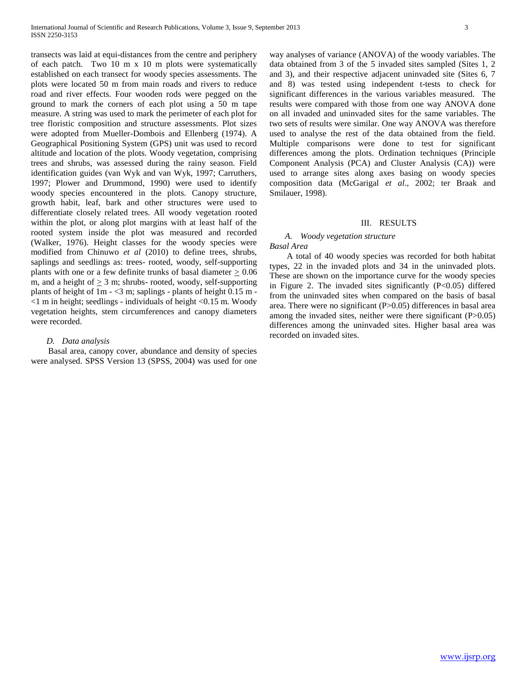transects was laid at equi-distances from the centre and periphery of each patch. Two 10 m x 10 m plots were systematically established on each transect for woody species assessments. The plots were located 50 m from main roads and rivers to reduce road and river effects. Four wooden rods were pegged on the ground to mark the corners of each plot using a 50 m tape measure. A string was used to mark the perimeter of each plot for tree floristic composition and structure assessments. Plot sizes were adopted from Mueller-Dombois and Ellenberg (1974). A Geographical Positioning System (GPS) unit was used to record altitude and location of the plots. Woody vegetation, comprising trees and shrubs, was assessed during the rainy season. Field identification guides (van Wyk and van Wyk, 1997; Carruthers, 1997; Plower and Drummond, 1990) were used to identify woody species encountered in the plots. Canopy structure, growth habit, leaf, bark and other structures were used to differentiate closely related trees. All woody vegetation rooted within the plot, or along plot margins with at least half of the rooted system inside the plot was measured and recorded (Walker, 1976). Height classes for the woody species were modified from Chinuwo *et al* (2010) to define trees, shrubs, saplings and seedlings as: trees- rooted, woody, self-supporting plants with one or a few definite trunks of basal diameter > 0.06 m, and a height of  $\geq 3$  m; shrubs- rooted, woody, self-supporting plants of height of  $1m - 3m$ ; saplings - plants of height  $0.15 m <$ 1 m in height; seedlings - individuals of height  $<$ 0.15 m. Woody vegetation heights, stem circumferences and canopy diameters were recorded.

#### *D. Data analysis*

Basal area, canopy cover, abundance and density of species were analysed. SPSS Version 13 (SPSS, 2004) was used for one

way analyses of variance (ANOVA) of the woody variables. The data obtained from 3 of the 5 invaded sites sampled (Sites 1, 2 and 3), and their respective adjacent uninvaded site (Sites 6, 7 and 8) was tested using independent t-tests to check for significant differences in the various variables measured. The results were compared with those from one way ANOVA done on all invaded and uninvaded sites for the same variables. The two sets of results were similar. One way ANOVA was therefore used to analyse the rest of the data obtained from the field. Multiple comparisons were done to test for significant differences among the plots. Ordination techniques (Principle Component Analysis (PCA) and Cluster Analysis (CA)) were used to arrange sites along axes basing on woody species composition data (McGarigal *et al*., 2002; ter Braak and Smilauer, 1998).

#### III. RESULTS

## *A. Woody vegetation structure*

*Basal Area* 

A total of 40 woody species was recorded for both habitat types, 22 in the invaded plots and 34 in the uninvaded plots. These are shown on the importance curve for the woody species in Figure 2. The invaded sites significantly (P<0.05) differed from the uninvaded sites when compared on the basis of basal area. There were no significant (P>0.05) differences in basal area among the invaded sites, neither were there significant (P>0.05) differences among the uninvaded sites. Higher basal area was recorded on invaded sites.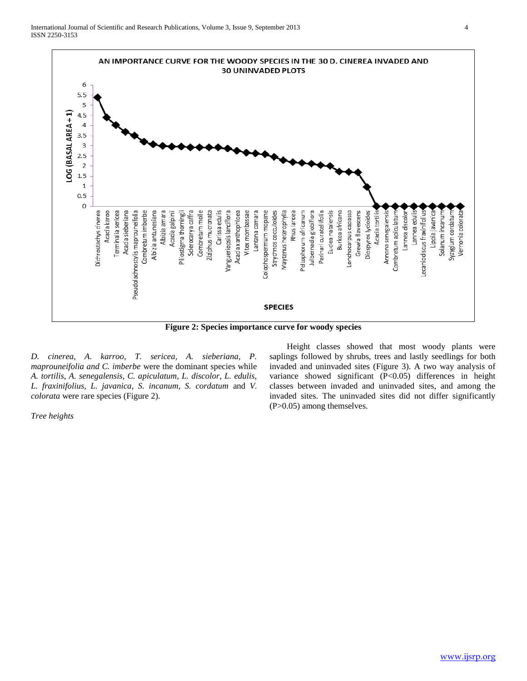

**Figure 2: Species importance curve for woody species**

*D. cinerea, A. karroo, T. sericea, A. sieberiana, P. maprouneifolia and C. imberbe* were the dominant species while *A. tortilis, A. senegalensis, C. apiculatum, L. discolor, L. edulis, L. fraxinifolius, L. javanica, S. incanum, S. cordatum* and *V. colorata* were rare species (Figure 2).

*Tree heights*

Height classes showed that most woody plants were saplings followed by shrubs, trees and lastly seedlings for both invaded and uninvaded sites (Figure 3). A two way analysis of variance showed significant (P<0.05) differences in height classes between invaded and uninvaded sites, and among the invaded sites. The uninvaded sites did not differ significantly (P>0.05) among themselves.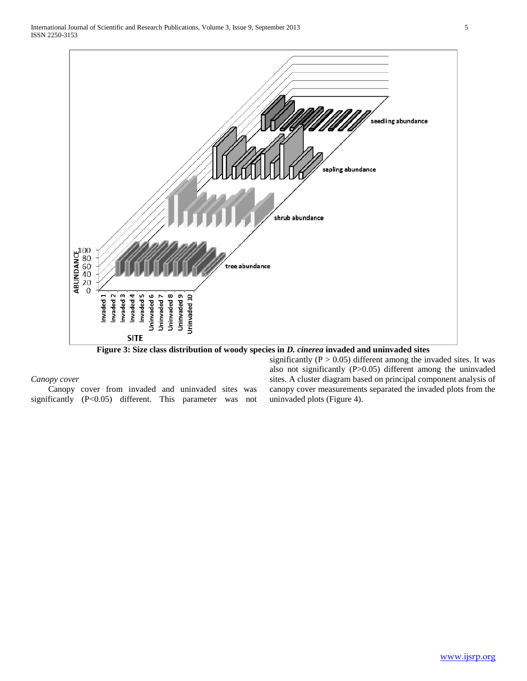

**Figure 3: Size class distribution of woody species in** *D. cinerea* **invaded and uninvaded sites**

*Canopy cover*

Canopy cover from invaded and uninvaded sites was significantly (P<0.05) different. This parameter was not significantly ( $P > 0.05$ ) different among the invaded sites. It was also not significantly (P>0.05) different among the uninvaded sites. A cluster diagram based on principal component analysis of canopy cover measurements separated the invaded plots from the uninvaded plots (Figure 4).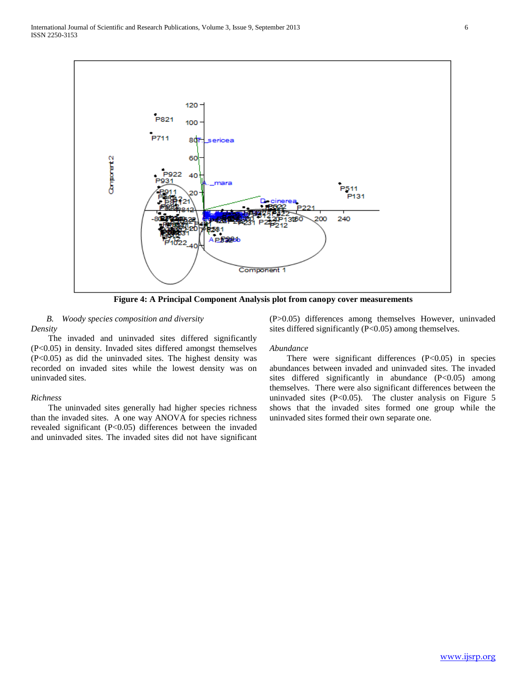

**Figure 4: A Principal Component Analysis plot from canopy cover measurements**

*B. Woody species composition and diversity Density*

The invaded and uninvaded sites differed significantly (P<0.05) in density. Invaded sites differed amongst themselves (P<0.05) as did the uninvaded sites. The highest density was recorded on invaded sites while the lowest density was on uninvaded sites.

#### *Richness*

The uninvaded sites generally had higher species richness than the invaded sites. A one way ANOVA for species richness revealed significant (P<0.05) differences between the invaded and uninvaded sites. The invaded sites did not have significant (P>0.05) differences among themselves However, uninvaded sites differed significantly  $(P<0.05)$  among themselves.

#### *Abundance*

There were significant differences  $(P<0.05)$  in species abundances between invaded and uninvaded sites. The invaded sites differed significantly in abundance (P<0.05) among themselves. There were also significant differences between the uninvaded sites  $(P<0.05)$ . The cluster analysis on Figure 5 shows that the invaded sites formed one group while the uninvaded sites formed their own separate one.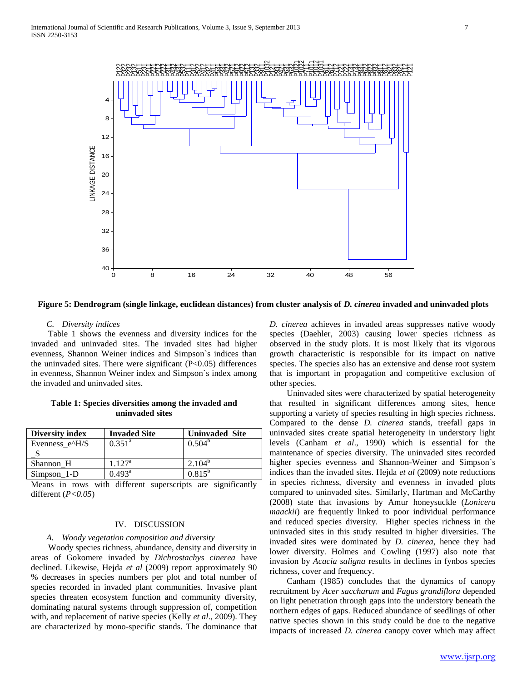

#### **Figure 5: Dendrogram (single linkage, euclidean distances) from cluster analysis of** *D. cinerea* **invaded and uninvaded plots**

#### *C. Diversity indices*

Table 1 shows the evenness and diversity indices for the invaded and uninvaded sites. The invaded sites had higher evenness, Shannon Weiner indices and Simpson`s indices than the uninvaded sites. There were significant  $(P<0.05)$  differences in evenness, Shannon Weiner index and Simpson`s index among the invaded and uninvaded sites.

**Table 1: Species diversities among the invaded and uninvaded sites**

| <b>Diversity index</b>    | <b>Invaded Site</b> | <b>Uninvaded Site</b> |
|---------------------------|---------------------|-----------------------|
| Evenness $e^{\Lambda}H/S$ | $0.351^{\circ}$     | $0.504^b$             |
|                           |                     |                       |
| Shannon H                 | $1.127^{\rm a}$     | $2.104^{b}$           |
| $Simpson_1-D$             | $0.493^a$           | $0.815^{b}$           |

Means in rows with different superscripts are significantly different (*P<0.05*)

#### IV. DISCUSSION

#### *A. Woody vegetation composition and diversity*

Woody species richness, abundance, density and diversity in areas of Gokomere invaded by *Dichrostachys cinerea* have declined. Likewise, Hejda *et al* (2009) report approximately 90 % decreases in species numbers per plot and total number of species recorded in invaded plant communities. Invasive plant species threaten ecosystem function and community diversity, dominating natural systems through suppression of, competition with, and replacement of native species (Kelly *et al*., 2009). They are characterized by mono-specific stands. The dominance that

*D. cinerea* achieves in invaded areas suppresses native woody species (Daehler, 2003) causing lower species richness as observed in the study plots. It is most likely that its vigorous growth characteristic is responsible for its impact on native species. The species also has an extensive and dense root system that is important in propagation and competitive exclusion of other species.

Uninvaded sites were characterized by spatial heterogeneity that resulted in significant differences among sites, hence supporting a variety of species resulting in high species richness. Compared to the dense *D. cinerea* stands, treefall gaps in uninvaded sites create spatial heterogeneity in understory light levels (Canham *et al*., 1990) which is essential for the maintenance of species diversity. The uninvaded sites recorded higher species evenness and Shannon-Weiner and Simpson`s indices than the invaded sites. Hejda *et al* (2009) note reductions in species richness, diversity and evenness in invaded plots compared to uninvaded sites. Similarly, Hartman and McCarthy (2008) state that invasions by Amur honeysuckle (*Lonicera maackii*) are frequently linked to poor individual performance and reduced species diversity. Higher species richness in the uninvaded sites in this study resulted in higher diversities. The invaded sites were dominated by *D. cinerea*, hence they had lower diversity. Holmes and Cowling (1997) also note that invasion by *Acacia saligna* results in declines in fynbos species richness, cover and frequency.

Canham (1985) concludes that the dynamics of canopy recruitment by *Acer saccharum* and *Fagus grandiflora* depended on light penetration through gaps into the understory beneath the northern edges of gaps. Reduced abundance of seedlings of other native species shown in this study could be due to the negative impacts of increased *D. cinerea* canopy cover which may affect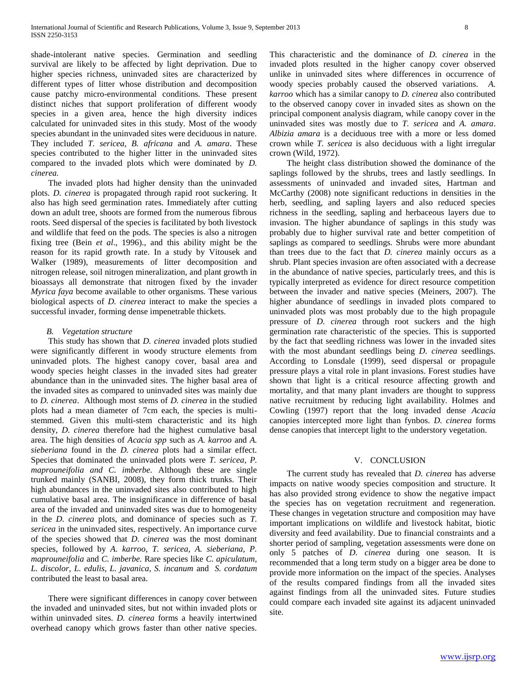shade-intolerant native species. Germination and seedling survival are likely to be affected by light deprivation. Due to higher species richness, uninvaded sites are characterized by different types of litter whose distribution and decomposition cause patchy micro-environmental conditions. These present distinct niches that support proliferation of different woody species in a given area, hence the high diversity indices calculated for uninvaded sites in this study. Most of the woody species abundant in the uninvaded sites were deciduous in nature. They included *T. sericea, B. africana* and *A. amara*. These species contributed to the higher litter in the uninvaded sites compared to the invaded plots which were dominated by *D. cinerea.*

The invaded plots had higher density than the uninvaded plots. *D. cinerea* is propagated through rapid root suckering. It also has high seed germination rates. Immediately after cutting down an adult tree, shoots are formed from the numerous fibrous roots. Seed dispersal of the species is facilitated by both livestock and wildlife that feed on the pods. The species is also a nitrogen fixing tree (Bein *et al*., 1996)., and this ability might be the reason for its rapid growth rate. In a study by Vitousek and Walker (1989), measurements of litter decomposition and nitrogen release, soil nitrogen mineralization, and plant growth in bioassays all demonstrate that nitrogen fixed by the invader *Myrica faya* become available to other organisms. These various biological aspects of *D. cinerea* interact to make the species a successful invader, forming dense impenetrable thickets.

#### *B. Vegetation structure*

This study has shown that *D. cinerea* invaded plots studied were significantly different in woody structure elements from uninvaded plots. The highest canopy cover, basal area and woody species height classes in the invaded sites had greater abundance than in the uninvaded sites. The higher basal area of the invaded sites as compared to uninvaded sites was mainly due to *D. cinerea*. Although most stems of *D. cinerea* in the studied plots had a mean diameter of 7cm each, the species is multistemmed. Given this multi-stem characteristic and its high density, *D. cinerea* therefore had the highest cumulative basal area. The high densities of *Acacia spp* such as *A. karroo* and *A. sieberiana* found in the *D. cinerea* plots had a similar effect. Species that dominated the uninvaded plots were *T. sericea, P. maprouneifolia and C. imberbe.* Although these are single trunked mainly (SANBI, 2008), they form thick trunks. Their high abundances in the uninvaded sites also contributed to high cumulative basal area. The insignificance in difference of basal area of the invaded and uninvaded sites was due to homogeneity in the *D. cinerea* plots, and dominance of species such as *T. sericea* in the uninvaded sites, respectively. An importance curve of the species showed that *D. cinerea* was the most dominant species, followed by *A. karroo, T. sericea, A. sieberiana, P. maprouneifolia* and *C. imberbe.* Rare species like *C. apiculatum, L. discolor, L. edulis, L. javanica, S. incanum* and *S. cordatum*  contributed the least to basal area.

There were significant differences in canopy cover between the invaded and uninvaded sites, but not within invaded plots or within uninvaded sites. *D. cinerea* forms a heavily intertwined overhead canopy which grows faster than other native species.

This characteristic and the dominance of *D. cinerea* in the invaded plots resulted in the higher canopy cover observed unlike in uninvaded sites where differences in occurrence of woody species probably caused the observed variations. *A. karroo* which has a similar canopy to *D. cinerea* also contributed to the observed canopy cover in invaded sites as shown on the principal component analysis diagram, while canopy cover in the uninvaded sites was mostly due to *T. sericea* and *A. amara*. *Albizia amara* is a deciduous tree with a more or less domed crown while *T. sericea* is also deciduous with a light irregular crown (Wild, 1972).

The height class distribution showed the dominance of the saplings followed by the shrubs, trees and lastly seedlings. In assessments of uninvaded and invaded sites, Hartman and McCarthy (2008) note significant reductions in densities in the herb, seedling, and sapling layers and also reduced species richness in the seedling, sapling and herbaceous layers due to invasion. The higher abundance of saplings in this study was probably due to higher survival rate and better competition of saplings as compared to seedlings. Shrubs were more abundant than trees due to the fact that *D. cinerea* mainly occurs as a shrub. Plant species invasion are often associated with a decrease in the abundance of native species, particularly trees, and this is typically interpreted as evidence for direct resource competition between the invader and native species (Meiners, 2007). The higher abundance of seedlings in invaded plots compared to uninvaded plots was most probably due to the high propagule pressure of *D. cinerea* through root suckers and the high germination rate characteristic of the species. This is supported by the fact that seedling richness was lower in the invaded sites with the most abundant seedlings being *D. cinerea* seedlings. According to Lonsdale (1999), seed dispersal or propagule pressure plays a vital role in plant invasions. Forest studies have shown that light is a critical resource affecting growth and mortality, and that many plant invaders are thought to suppress native recruitment by reducing light availability. Holmes and Cowling (1997) report that the long invaded dense *Acacia* canopies intercepted more light than fynbos. *D. cinerea* forms dense canopies that intercept light to the understory vegetation.

#### V. CONCLUSION

The current study has revealed that *D. cinerea* has adverse impacts on native woody species composition and structure. It has also provided strong evidence to show the negative impact the species has on vegetation recruitment and regeneration. These changes in vegetation structure and composition may have important implications on wildlife and livestock habitat, biotic diversity and feed availability. Due to financial constraints and a shorter period of sampling, vegetation assessments were done on only 5 patches of *D. cinerea* during one season. It is recommended that a long term study on a bigger area be done to provide more information on the impact of the species. Analyses of the results compared findings from all the invaded sites against findings from all the uninvaded sites. Future studies could compare each invaded site against its adjacent uninvaded site.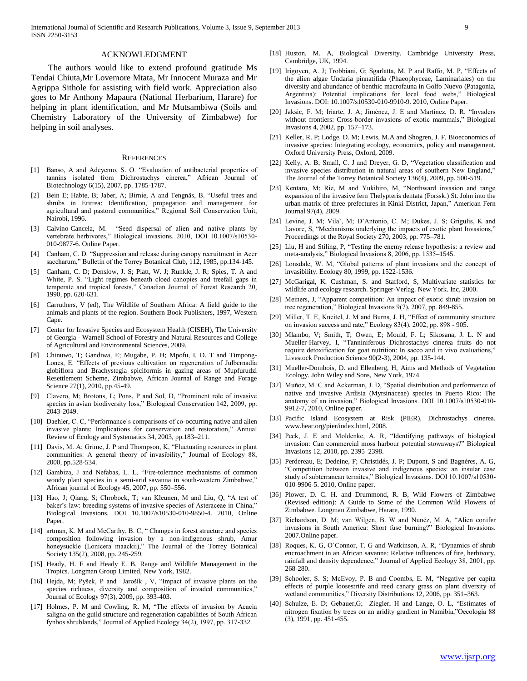#### ACKNOWLEDGMENT

The authors would like to extend profound gratitude Ms Tendai Chiuta,Mr Lovemore Mtata, Mr Innocent Muraza and Mr Agrippa Sithole for assisting with field work. Appreciation also goes to Mr Anthony Mapaura (National Herbarium, Harare) for helping in plant identification, and Mr Mutsambiwa (Soils and Chemistry Laboratory of the University of Zimbabwe) for helping in soil analyses.

#### **REFERENCES**

- [1] Banso, A and Adeyemo, S. O. "Evaluation of antibacterial properties of tannins isolated from Dichrostachys cinerea," African Journal of Biotechnology 6(15), 2007, pp. 1785-1787.
- [2] Bein E; Habte, B; Jaber, A; Birnie, A and Tengnäs, B. "Useful trees and shrubs in Eritrea: Identification, propagation and management for agricultural and pastoral communities," Regional Soil Conservation Unit, Nairobi, 1996.
- [3] Calvino-Cancela, M. "Seed dispersal of alien and native plants by vertebrate herbivores," Biological invasions. 2010, DOI 10.1007/s10530-010-9877-6. Online Paper.
- [4] Canham, C. D. "Suppression and release during canopy recruitment in Acer saccharum," Bulletin of the Torrey Botanical Club, 112, 1985, pp.134-145.
- [5] Canham, C. D; Denslow, J. S; Platt, W. J; Runkle, J. R; Spies, T. A and White, P. S. "Light regimes beneath cloed canopies and treefall gaps in temperate and tropical forests," Canadian Journal of Forest Research 20, 1990, pp. 620-631.
- [6] Carruthers, V (ed), The Wildlife of Southern Africa: A field guide to the animals and plants of the region. Southern Book Publishers, 1997, Western Cape.
- [7] Center for Invasive Species and Ecosystem Health (CISEH), The University of Georgia - Warnell School of Forestry and Natural Resources and College of Agricultural and Environmental Sciences, 2009.
- Chinuwo, T; Gandiwa, E; Mugabe, P. H; Mpofu, I. D. T and Timpong-Lones, E. "Effects of previous cultivation on regeneration of Julbernadia globiflora and Brachystegia spiciformis in gazing areas of Mupfurudzi Resettlement Scheme, Zimbabwe, African Journal of Range and Forage Science 27(1), 2010, pp.45-49.
- [9] Clavero, M; Brotons, L; Pons, P and Sol, D, "Prominent role of invasive species in avian biodiversity loss," Biological Conservation 142, 2009, pp. 2043-2049.
- [10] Daehler, C. C, "Performance's comparisons of co-occurring native and alien invasive plants: Implications for conservation and restoration," Annual Review of Ecology and Systematics 34, 2003, pp.183–211.
- [11] Davis, M. A; Grime, J. P and Thompson, K, "Fluctuating resources in plant communities: A general theory of invasibility," Journal of Ecology 88, 2000, pp.528-534.
- [12] Gambiza, J and Nefabas, L. L, "Fire-tolerance mechanisms of common woody plant species in a semi-arid savanna in south-western Zimbabwe," African journal of Ecology 45, 2007, pp. 550–556.
- [13] Hao, J; Qiang, S; Chrobock, T; van Kleunen, M and Liu, Q, "A test of baker's law: breeding systems of invasive species of Asteraceae in China," Biological Invasions. DOI 10.1007/s10530-010-9850-4. 2010, Online Paper.
- [14] artman, K. M and McCarthy, B. C, " Changes in forest structure and species composition following invasion by a non-indigenous shrub, Amur honeysuckle (Lonicera maackii)," The Journal of the Torrey Botanical Society 135(2), 2008, pp. 245-259.
- [15] Heady, H. F and Heady E. B, Range and Wildlife Management in the Tropics. Longman Group Limited, New York, 1982.
- [16] Hejda, M; Pyšek, P and Jarošík, V, "Impact of invasive plants on the species richness, diversity and composition of invaded communities," Journal of Ecology 97(3), 2009, pp. 393-403.
- [17] Holmes, P. M and Cowling, R. M, "The effects of invasion by Acacia saligna on the guild structure and regeneration capabilities of South African fynbos shrublands," Journal of Applied Ecology 34(2), 1997, pp. 317-332.
- [18] Huston, M. A, Biological Diversity. Cambridge University Press, Cambridge, UK, 1994.
- [19] Irigoyen, A. J; Trobbiani, G; Sgarlatta, M. P and Raffo, M. P, "Effects of the alien algae Undaria pinnatifida (Phaeophyceae, Laminariales) on the diversity and abundance of benthic macrofauna in Golfo Nuevo (Patagonia, Argentina): Potential implications for local food webs," Biological Invasions. DOI: 10.1007/s10530-010-9910-9. 2010, Online Paper.
- [20] Jaksic, F. M; Iriarte, J. A; Jiménez, J. E and Martínez, D. R, "Invaders without frontiers: Cross-border invasions of exotic mammals," Biological Invasions 4, 2002, pp. 157–173.
- [21] Keller, R. P; Lodge, D. M; Lewis, M.A and Shogren, J. F, Bioeconomics of invasive species: Integrating ecology, economics, policy and management. Oxford University Press, Oxford, 2009.
- [22] Kelly, A. B; Small, C. J and Dreyer, G. D, "Vegetation classification and invasive species distribution in natural areas of southern New England," The Journal of the Torrey Botanical Society 136(4), 2009, pp. 500-519.
- [23] Kentaro, M; Rie, M and Yukihiro, M, "Northward invasion and range expansion of the invasive fern Thelypteris dentata (Forssk.) St. John into the urban matrix of three prefectures in Kinki District, Japan," American Fern Journal 97(4), 2009.
- [24] Levine, J. M; Vila`, M; D'Antonio, C. M; Dukes, J. S; Grigulis, K and Lavore, S, "Mechanisms underlying the impacts of exotic plant Invasions," Proceedings of the Royal Society 270, 2003, pp. 775–781.
- [25] Liu, H and Stiling, P, "Testing the enemy release hypothesis: a review and meta-analysis," Biological Invasions 8, 2006, pp. 1535–1545.
- [26] Lonsdale, W. M, "Global patterns of plant invasions and the concept of invasibility. Ecology 80, 1999, pp. 1522-1536.
- [27] McGarigal, K. Cushman, S. and Stafford, S, Multivariate statistics for wildlife and ecology research. Springer-Verlag. New York. Inc, 2000.
- [28] Meiners, J, "Apparent competition: An impact of exotic shrub invasion on tree regeneration," Biological Invasions 9(7), 2007, pp. 849-855.
- [29] Miller, T. E, Kneitel, J. M and Burns, J. H, "Effect of community structure on invasion success and rate," Ecology 83(4), 2002, pp. 898 - 905.
- [30] Mlambo, V; Smith, T; Owen, E; Mould, F. L; Sikosana, J. L. N and Mueller-Harvey, I, "Tanniniferous Dichrostachys cinerea fruits do not require detoxification for goat nutrition: In sacco and in vivo evaluations," Livestock Production Science 90(2-3), 2004, pp. 135-144.
- [31] Mueller-Dombois, D. and Ellenberg, H, Aims and Methods of Vegetation Ecology. John Wiley and Sons, New York, 1974.
- [32] Muñoz, M. C and Ackerman, J. D, "Spatial distribution and performance of native and invasive Ardisia (Myrsinaceae) species in Puerto Rico: The anatomy of an invasion," Biological Invasions. DOI 10.1007/s10530-010- 9912-7, 2010, Online paper.
- [33] Pacific Island Ecosystem at Risk (PIER), Dichrostachys cinerea. www.hear.org/pier/index.html, 2008.
- [34] Peck, J. E and Moldenke, A. R, "Identifying pathways of biological invasion: Can commercial moss harbour potential stowaways?" Biological Invasions 12, 2010, pp. 2395–2398.
- [35] Perdereau, E; Dedeine, F; Christidés, J. P; Dupont, S and Bagnéres, A. G, "Competition between invasive and indigenous species: an insular case study of subterranean termites," Biological Invasions. DOI 10.1007/s10530- 010-9906-5. 2010, Online paper.
- [36] Plower, D. C. H. and Drummond, R. B, Wild Flowers of Zimbabwe (Revised edition): A Guide to Some of the Common Wild Flowers of Zimbabwe. Longman Zimbabwe, Harare, 1990.
- [37] Richardson, D. M; van Wilgen, B. W and Nunéz, M. A, "Alien conifer invasions in South America: Short fuse burning?" Biological Invasions. 2007.Online paper.
- [38] Roques, K. G, O'Connor, T. G and Watkinson, A. R, "Dynamics of shrub encroachment in an African savanna: Relative influences of fire, herbivory, rainfall and density dependence," Journal of Applied Ecology 38, 2001, pp. 268-280.
- [39] Schooler, S. S; McEvoy, P. B and Coombs, E. M, "Negative per capita effects of purple loosestrife and reed canary grass on plant diversity of wetland communities," Diversity Distributions 12, 2006, pp. 351–363.
- [40] Schulze, E. D; Gebauer, G; Ziegler, H and Lange, O. L, "Estimates of nitrogen fixation by trees on an aridity gradient in Namibia,"Oecologia 88 (3), 1991, pp. 451-455.